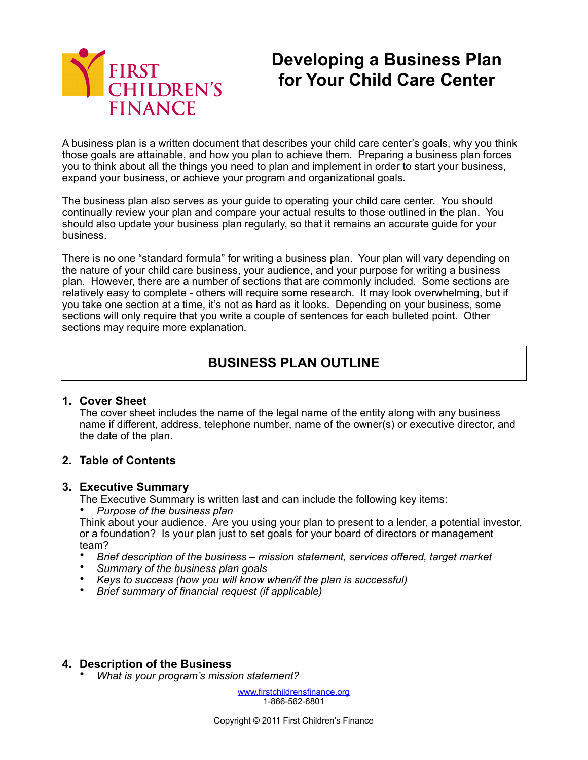

# **Developing a Business Plan for Your Child Care Center**

A business plan is a written document that describes your child care center's goals, why you think those goals are attainable, and how you plan to achieve them. Preparing a business plan forces you to think about all the things you need to plan and implement in order to start your business, expand your business, or achieve your program and organizational goals.

The business plan also serves as your guide to operating your child care center. You should continually review your plan and compare your actual results to those outlined in the plan. You should also update your business plan regularly, so that it remains an accurate guide for your business.

There is no one "standard formula" for writing a business plan. Your plan will vary depending on the nature of your child care business, your audience, and your purpose for writing a business plan. However, there are a number of sections that are commonly included. Some sections are relatively easy to complete - others will require some research. It may look overwhelming, but if you take one section at a time, it's not as hard as it looks. Depending on your business, some sections will only require that you write a couple of sentences for each bulleted point. Other sections may require more explanation.

# **BUSINESS PLAN OUTLINE**

#### **1. Cover Sheet**

The cover sheet includes the name of the legal name of the entity along with any business name if different, address, telephone number, name of the owner(s) or executive director, and the date of the plan.

# **2. Table of Contents**

#### **3. Executive Summary**

The Executive Summary is written last and can include the following key items:

• *Purpose of the business plan* 

Think about your audience. Are you using your plan to present to a lender, a potential investor, or a foundation? Is your plan just to set goals for your board of directors or management team?

- *Brief description of the business mission statement, services offered, target market*
- *Summary of the business plan goals*
- *Keys to success (how you will know when/if the plan is successful)*
- *Brief summary of financial request (if applicable)*

#### **4. Description of the Business**

• *What is your program's mission statement?*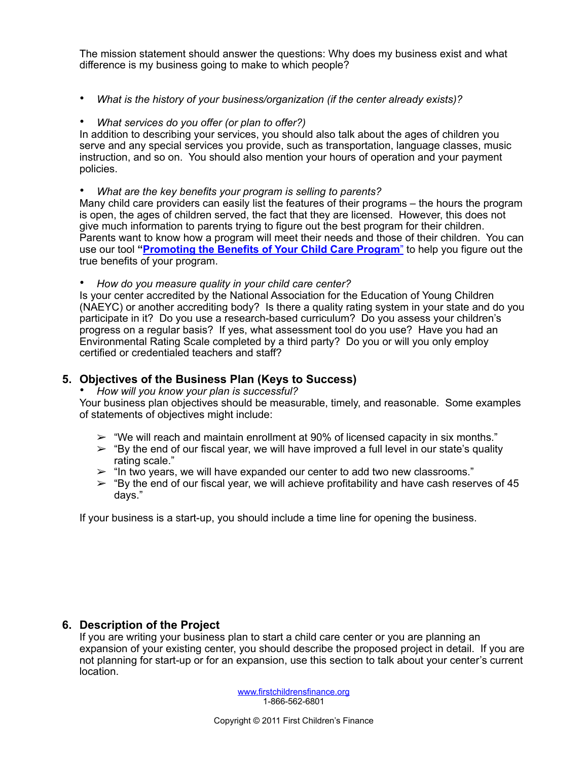The mission statement should answer the questions: Why does my business exist and what difference is my business going to make to which people?

- *What is the history of your business/organization (if the center already exists)?*
- *What services do you offer (or plan to offer?)*

In addition to describing your services, you should also talk about the ages of children you serve and any special services you provide, such as transportation, language classes, music instruction, and so on. You should also mention your hours of operation and your payment policies.

• *What are the key benefits your program is selling to parents?*

Many child care providers can easily list the features of their programs – the hours the program is open, the ages of children served, the fact that they are licensed. However, this does not give much information to parents trying to figure out the best program for their children. Parents want to know how a program will meet their needs and those of their children. You can use our tool **"[Promoting the Benefits of Your Child Care Program](http://www.firstchildrensfinance.org/businessresourcecenter/wp-content/blogs.dir/2/files/2011/01/Tool-Promoting-the-Benefits.doc)**" to help you figure out the true benefits of your program.

• *How do you measure quality in your child care center?*

Is your center accredited by the National Association for the Education of Young Children (NAEYC) or another accrediting body? Is there a quality rating system in your state and do you participate in it? Do you use a research-based curriculum? Do you assess your children's progress on a regular basis? If yes, what assessment tool do you use? Have you had an Environmental Rating Scale completed by a third party? Do you or will you only employ certified or credentialed teachers and staff?

#### **5. Objectives of the Business Plan (Keys to Success)**

• *How will you know your plan is successful?*

Your business plan objectives should be measurable, timely, and reasonable. Some examples of statements of objectives might include:

- $\triangleright$  "We will reach and maintain enrollment at 90% of licensed capacity in six months."
- $\geq$  "By the end of our fiscal year, we will have improved a full level in our state's quality rating scale."
- $\geq$  "In two years, we will have expanded our center to add two new classrooms."
- $\geq$  "By the end of our fiscal year, we will achieve profitability and have cash reserves of 45 days."

If your business is a start-up, you should include a time line for opening the business.

#### **6. Description of the Project**

If you are writing your business plan to start a child care center or you are planning an expansion of your existing center, you should describe the proposed project in detail. If you are not planning for start-up or for an expansion, use this section to talk about your center's current location.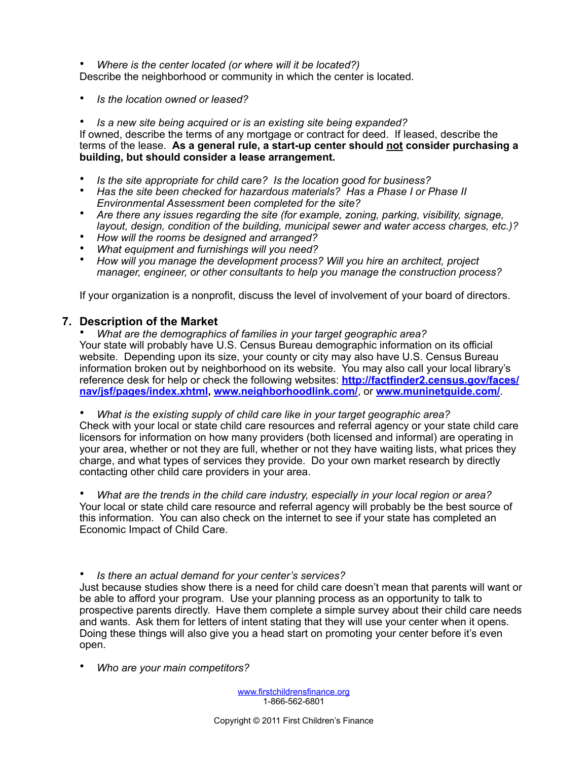• *Where is the center located (or where will it be located?)*

Describe the neighborhood or community in which the center is located.

• *Is the location owned or leased?* 

• *Is a new site being acquired or is an existing site being expanded?* If owned, describe the terms of any mortgage or contract for deed. If leased, describe the terms of the lease. **As a general rule, a start-up center should not consider purchasing a building, but should consider a lease arrangement.** 

- *Is the site appropriate for child care? Is the location good for business?*
- *Has the site been checked for hazardous materials? Has a Phase I or Phase II Environmental Assessment been completed for the site?*
- *Are there any issues regarding the site (for example, zoning, parking, visibility, signage, layout, design, condition of the building, municipal sewer and water access charges, etc.)?*
- *How will the rooms be designed and arranged?*
- *What equipment and furnishings will you need?*
- *How will you manage the development process? Will you hire an architect, project manager, engineer, or other consultants to help you manage the construction process?*

If your organization is a nonprofit, discuss the level of involvement of your board of directors.

# **7. Description of the Market**

• *What are the demographics of families in your target geographic area?*  Your state will probably have U.S. Census Bureau demographic information on its official website. Depending upon its size, your county or city may also have U.S. Census Bureau information broken out by neighborhood on its website. You may also call your local library's reference desk for help or check the following websites: **[http://factfinder2.census.gov/faces/](http://factfinder2.census.gov/faces/nav/jsf/pages/index.xhtml) [nav/jsf/pages/index.xhtml,](http://factfinder2.census.gov/faces/nav/jsf/pages/index.xhtml) [www.neighborhoodlink.com/](http://www.neighborhoodlink.com/)**, or **[www.muninetguide.com/](http://www.muninetguide.com/)**.

• *What is the existing supply of child care like in your target geographic area?*  Check with your local or state child care resources and referral agency or your state child care licensors for information on how many providers (both licensed and informal) are operating in your area, whether or not they are full, whether or not they have waiting lists, what prices they charge, and what types of services they provide. Do your own market research by directly contacting other child care providers in your area.

• *What are the trends in the child care industry, especially in your local region or area?*  Your local or state child care resource and referral agency will probably be the best source of this information. You can also check on the internet to see if your state has completed an Economic Impact of Child Care.

• *Is there an actual demand for your center's services?*

Just because studies show there is a need for child care doesn't mean that parents will want or be able to afford your program. Use your planning process as an opportunity to talk to prospective parents directly. Have them complete a simple survey about their child care needs and wants. Ask them for letters of intent stating that they will use your center when it opens. Doing these things will also give you a head start on promoting your center before it's even open.

• *Who are your main competitors?*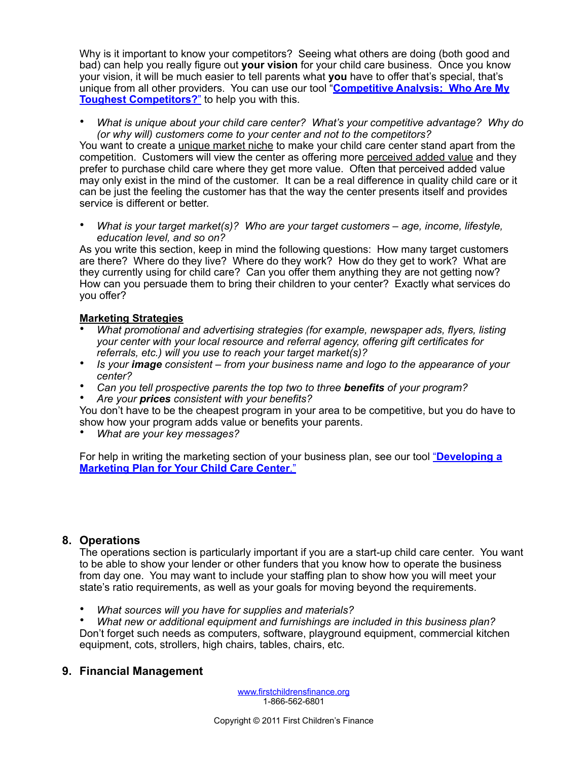Why is it important to know your competitors? Seeing what others are doing (both good and bad) can help you really figure out **your vision** for your child care business. Once you know your vision, it will be much easier to tell parents what **you** have to offer that's special, that's unique from all other providers. You can use our tool "**[Competitive Analysis: Who Are My](http://www.firstchildrensfinance.org/businessresourcecenter/wp-content/blogs.dir/2/files/2011/01/Tool-Who-Are-My-Toughest-Competitors.doc)  [Toughest Competitors?](http://www.firstchildrensfinance.org/businessresourcecenter/wp-content/blogs.dir/2/files/2011/01/Tool-Who-Are-My-Toughest-Competitors.doc)**" to help you with this.

• *What is unique about your child care center? What's your competitive advantage? Why do (or why will) customers come to your center and not to the competitors?*

You want to create a *unique market niche to make your child care center stand apart from the* competition. Customers will view the center as offering more perceived added value and they prefer to purchase child care where they get more value. Often that perceived added value may only exist in the mind of the customer. It can be a real difference in quality child care or it can be just the feeling the customer has that the way the center presents itself and provides service is different or better.

• *What is your target market(s)? Who are your target customers – age, income, lifestyle, education level, and so on?*

As you write this section, keep in mind the following questions: How many target customers are there? Where do they live? Where do they work? How do they get to work? What are they currently using for child care? Can you offer them anything they are not getting now? How can you persuade them to bring their children to your center? Exactly what services do you offer?

#### **Marketing Strategies**

- *What promotional and advertising strategies (for example, newspaper ads, flyers, listing your center with your local resource and referral agency, offering gift certificates for referrals, etc.) will you use to reach your target market(s)?*
- *Is your image consistent from your business name and logo to the appearance of your center?*
- *Can you tell prospective parents the top two to three benefits of your program?*
- *Are your prices consistent with your benefits?*

You don't have to be the cheapest program in your area to be competitive, but you do have to show how your program adds value or benefits your parents.

• *What are your key messages?* 

For help in writing the marketing section of your business plan, see our tool "**[Developing a](http://www.firstchildrensfinance.org/businessresourcecenter/wp-content/blogs.dir/2/files/2011/01/Tool-Center-Marketing-Plan-Outline.doc)  [Marketing Plan for Your Child Care Center](http://www.firstchildrensfinance.org/businessresourcecenter/wp-content/blogs.dir/2/files/2011/01/Tool-Center-Marketing-Plan-Outline.doc)**."

#### **8. Operations**

The operations section is particularly important if you are a start-up child care center. You want to be able to show your lender or other funders that you know how to operate the business from day one. You may want to include your staffing plan to show how you will meet your state's ratio requirements, as well as your goals for moving beyond the requirements.

• *What sources will you have for supplies and materials?*

• *What new or additional equipment and furnishings are included in this business plan?*  Don't forget such needs as computers, software, playground equipment, commercial kitchen equipment, cots, strollers, high chairs, tables, chairs, etc.

#### **9. Financial Management**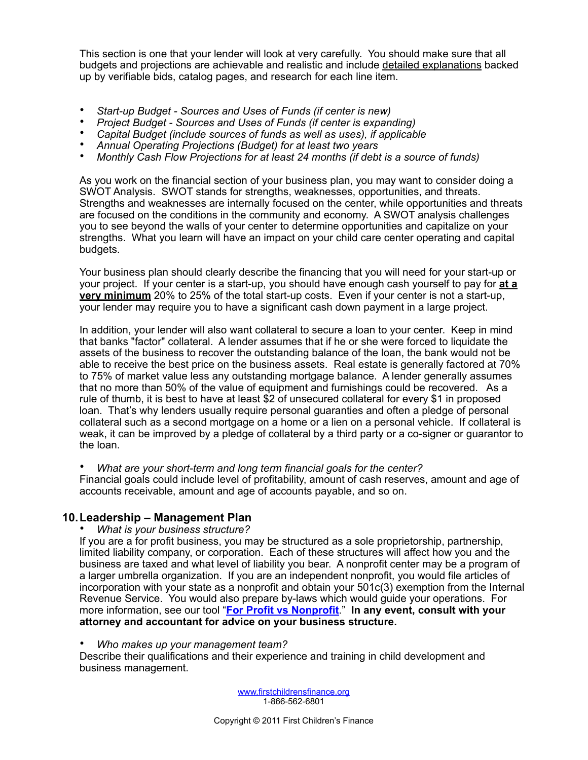This section is one that your lender will look at very carefully. You should make sure that all budgets and projections are achievable and realistic and include detailed explanations backed up by verifiable bids, catalog pages, and research for each line item.

- *Start-up Budget Sources and Uses of Funds (if center is new)*
- *Project Budget Sources and Uses of Funds (if center is expanding)*
- *Capital Budget (include sources of funds as well as uses), if applicable*
- *Annual Operating Projections (Budget) for at least two years*
- *Monthly Cash Flow Projections for at least 24 months (if debt is a source of funds)*

As you work on the financial section of your business plan, you may want to consider doing a SWOT Analysis. SWOT stands for strengths, weaknesses, opportunities, and threats. Strengths and weaknesses are internally focused on the center, while opportunities and threats are focused on the conditions in the community and economy. A SWOT analysis challenges you to see beyond the walls of your center to determine opportunities and capitalize on your strengths. What you learn will have an impact on your child care center operating and capital budgets.

Your business plan should clearly describe the financing that you will need for your start-up or your project. If your center is a start-up, you should have enough cash yourself to pay for **at a very minimum** 20% to 25% of the total start-up costs. Even if your center is not a start-up, your lender may require you to have a significant cash down payment in a large project.

In addition, your lender will also want collateral to secure a loan to your center. Keep in mind that banks "factor" collateral. A lender assumes that if he or she were forced to liquidate the assets of the business to recover the outstanding balance of the loan, the bank would not be able to receive the best price on the business assets. Real estate is generally factored at 70% to 75% of market value less any outstanding mortgage balance. A lender generally assumes that no more than 50% of the value of equipment and furnishings could be recovered. As a rule of thumb, it is best to have at least \$2 of unsecured collateral for every \$1 in proposed loan. That's why lenders usually require personal guaranties and often a pledge of personal collateral such as a second mortgage on a home or a lien on a personal vehicle. If collateral is weak, it can be improved by a pledge of collateral by a third party or a co-signer or guarantor to the loan.

• *What are your short-term and long term financial goals for the center?*

Financial goals could include level of profitability, amount of cash reserves, amount and age of accounts receivable, amount and age of accounts payable, and so on.

# **10.Leadership – Management Plan**

• *What is your business structure?*

If you are a for profit business, you may be structured as a sole proprietorship, partnership, limited liability company, or corporation. Each of these structures will affect how you and the business are taxed and what level of liability you bear. A nonprofit center may be a program of a larger umbrella organization. If you are an independent nonprofit, you would file articles of incorporation with your state as a nonprofit and obtain your 501c(3) exemption from the Internal Revenue Service. You would also prepare by-laws which would guide your operations. For more information, see our tool "**[For Profit vs Nonprofit](http://www.firstchildrensfinance.org/businessresourcecenter/wp-content/blogs.dir/2/files/2012/02/Tool-For-profit-vs-nonprofit.pdf)**." **In any event, consult with your attorney and accountant for advice on your business structure.** 

• *Who makes up your management team?* 

Describe their qualifications and their experience and training in child development and business management.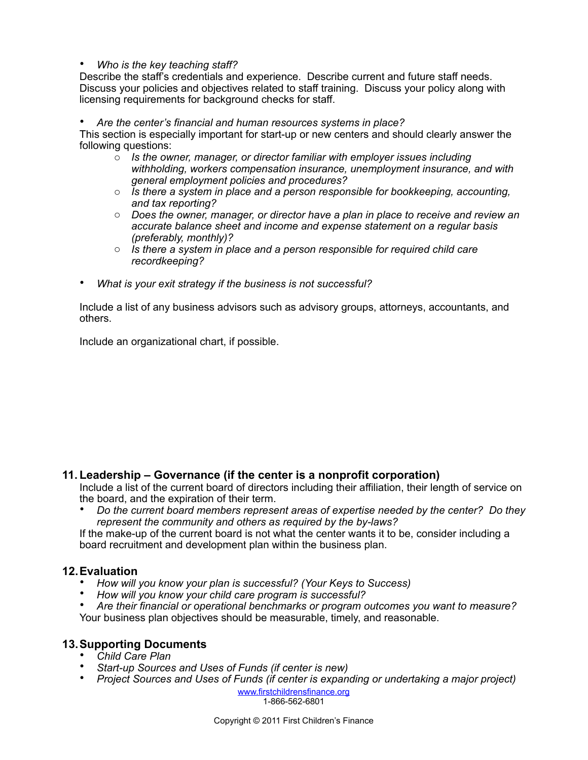#### • *Who is the key teaching staff?*

Describe the staff's credentials and experience. Describe current and future staff needs. Discuss your policies and objectives related to staff training. Discuss your policy along with licensing requirements for background checks for staff.

#### • *Are the center's financial and human resources systems in place?*

This section is especially important for start-up or new centers and should clearly answer the following questions:

- o *Is the owner, manager, or director familiar with employer issues including withholding, workers compensation insurance, unemployment insurance, and with general employment policies and procedures?*
- o *Is there a system in place and a person responsible for bookkeeping, accounting, and tax reporting?*
- o *Does the owner, manager, or director have a plan in place to receive and review an accurate balance sheet and income and expense statement on a regular basis (preferably, monthly)?*
- o *Is there a system in place and a person responsible for required child care recordkeeping?*
- *What is your exit strategy if the business is not successful?*

Include a list of any business advisors such as advisory groups, attorneys, accountants, and others.

Include an organizational chart, if possible.

#### **11. Leadership – Governance (if the center is a nonprofit corporation)**

Include a list of the current board of directors including their affiliation, their length of service on the board, and the expiration of their term.

• *Do the current board members represent areas of expertise needed by the center? Do they represent the community and others as required by the by-laws?*

If the make-up of the current board is not what the center wants it to be, consider including a board recruitment and development plan within the business plan.

#### **12.Evaluation**

- *How will you know your plan is successful? (Your Keys to Success)*
- *How will you know your child care program is successful?*
- *Are their financial or operational benchmarks or program outcomes you want to measure?*  Your business plan objectives should be measurable, timely, and reasonable.

# **13.Supporting Documents**

- *Child Care Plan*
- *Start-up Sources and Uses of Funds (if center is new)*
- *Project Sources and Uses of Funds (if center is expanding or undertaking a major project)*